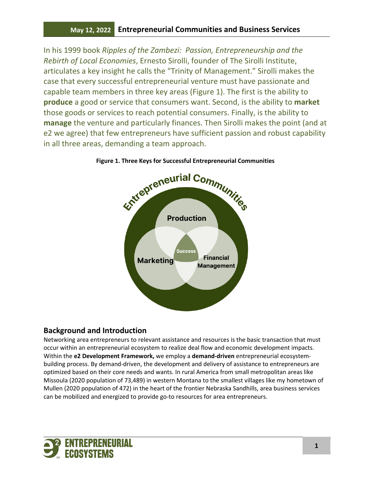In his 1999 book *Ripples of the Zambezi: Passion, Entrepreneurship and the Rebirth of Local Economies*, Ernesto Sirolli, founder of The Sirolli Institute, articulates a key insight he calls the "Trinity of Management." Sirolli makes the case that every successful entrepreneurial venture must have passionate and capable team members in three key areas (Figure 1). The first is the ability to **produce** a good or service that consumers want. Second, is the ability to **market**  those goods or services to reach potential consumers. Finally, is the ability to **manage** the venture and particularly finances. Then Sirolli makes the point (and at e2 we agree) that few entrepreneurs have sufficient passion and robust capability in all three areas, demanding a team approach.



**Figure 1. Three Keys for Successful Entrepreneurial Communities**

## **Background and Introduction**

Networking area entrepreneurs to relevant assistance and resources is the basic transaction that must occur within an entrepreneurial ecosystem to realize deal flow and economic development impacts. Within the **e2 Development Framework,** we employ a **demand-driven** entrepreneurial ecosystembuilding process. By demand-driven, the development and delivery of assistance to entrepreneurs are optimized based on their core needs and wants. In rural America from small metropolitan areas like Missoula (2020 population of 73,489) in western Montana to the smallest villages like my hometown of Mullen (2020 population of 472) in the heart of the frontier Nebraska Sandhills, area business services can be mobilized and energized to provide go-to resources for area entrepreneurs.

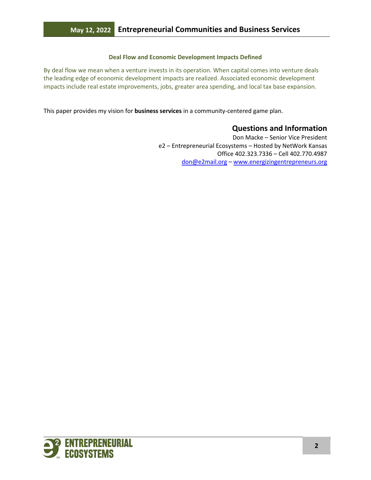#### **Deal Flow and Economic Development Impacts Defined**

By deal flow we mean when a venture invests in its operation. When capital comes into venture deals the leading edge of economic development impacts are realized. Associated economic development impacts include real estate improvements, jobs, greater area spending, and local tax base expansion.

This paper provides my vision for **business services** in a community-centered game plan.

## **Questions and Information**

Don Macke – Senior Vice President e2 – Entrepreneurial Ecosystems – Hosted by NetWork Kansas Office 402.323.7336 – Cell 402.770.4987 [don@e2mail.org](mailto:don@e2mail.org) – [www.energizingentrepreneurs.org](http://www.energizingentrepreneurs.org/) 

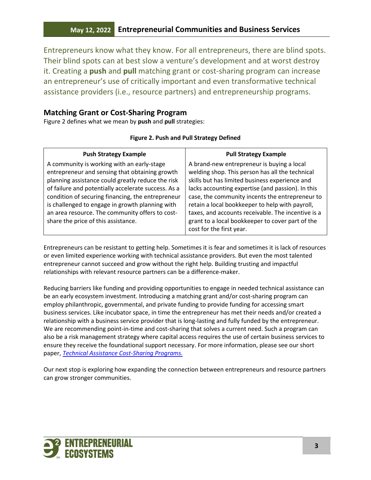Entrepreneurs know what they know. For all entrepreneurs, there are blind spots. Their blind spots can at best slow a venture's development and at worst destroy it. Creating a **push** and **pull** matching grant or cost-sharing program can increase an entrepreneur's use of critically important and even transformative technical assistance providers (i.e., resource partners) and entrepreneurship programs.

### **Matching Grant or Cost-Sharing Program**

Figure 2 defines what we mean by **push** and **pull** strategies:

#### **Figure 2. Push and Pull Strategy Defined**

| <b>Push Strategy Example</b>                                                                                                                                                                                                                                                                                                                                        | <b>Pull Strategy Example</b>                                                                                                                                                                                                                                                                                                                                     |
|---------------------------------------------------------------------------------------------------------------------------------------------------------------------------------------------------------------------------------------------------------------------------------------------------------------------------------------------------------------------|------------------------------------------------------------------------------------------------------------------------------------------------------------------------------------------------------------------------------------------------------------------------------------------------------------------------------------------------------------------|
| A community is working with an early-stage<br>entrepreneur and sensing that obtaining growth<br>planning assistance could greatly reduce the risk<br>of failure and potentially accelerate success. As a<br>condition of securing financing, the entrepreneur<br>is challenged to engage in growth planning with<br>an area resource. The community offers to cost- | A brand-new entrepreneur is buying a local<br>welding shop. This person has all the technical<br>skills but has limited business experience and<br>lacks accounting expertise (and passion). In this<br>case, the community incents the entrepreneur to<br>retain a local bookkeeper to help with payroll,<br>taxes, and accounts receivable. The incentive is a |
| share the price of this assistance.                                                                                                                                                                                                                                                                                                                                 | grant to a local bookkeeper to cover part of the<br>cost for the first year.                                                                                                                                                                                                                                                                                     |

Entrepreneurs can be resistant to getting help. Sometimes it is fear and sometimes it is lack of resources or even limited experience working with technical assistance providers. But even the most talented entrepreneur cannot succeed and grow without the right help. Building trusting and impactful relationships with relevant resource partners can be a difference-maker.

Reducing barriers like funding and providing opportunities to engage in needed technical assistance can be an early ecosystem investment. Introducing a matching grant and/or cost-sharing program can employ philanthropic, governmental, and private funding to provide funding for accessing smart business services. Like incubator space, in time the entrepreneur has met their needs and/or created a relationship with a business service provider that is long-lasting and fully funded by the entrepreneur. We are recommending point-in-time and cost-sharing that solves a current need. Such a program can also be a risk management strategy where capital access requires the use of certain business services to ensure they receive the foundational support necessary. For more information, please see our short paper, *[Technical Assistance Cost-Sharing Programs.](https://drive.google.com/file/d/1EnDKo6a2DGr9zEhZBZsi6NmTx7gDjjd4/view?usp=sharing)*

Our next stop is exploring how expanding the connection between entrepreneurs and resource partners can grow stronger communities.

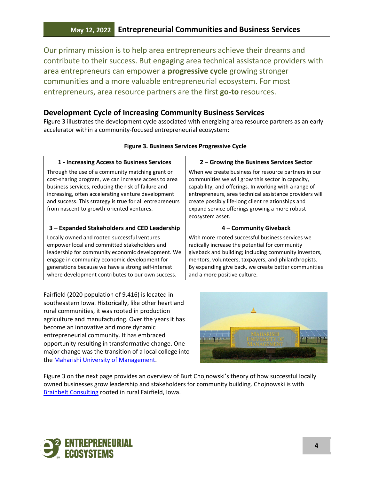Our primary mission is to help area entrepreneurs achieve their dreams and contribute to their success. But engaging area technical assistance providers with area entrepreneurs can empower a **progressive cycle** growing stronger communities and a more valuable entrepreneurial ecosystem. For most entrepreneurs, area resource partners are the first **go-to** resources.

### **Development Cycle of Increasing Community Business Services**

Figure 3 illustrates the development cycle associated with energizing area resource partners as an early accelerator within a community-focused entrepreneurial ecosystem:

| 1 - Increasing Access to Business Services                                                                                                                                                                                                                                                                                     | 2 - Growing the Business Services Sector                                                                                                                                                                                                                                                                                                                  |
|--------------------------------------------------------------------------------------------------------------------------------------------------------------------------------------------------------------------------------------------------------------------------------------------------------------------------------|-----------------------------------------------------------------------------------------------------------------------------------------------------------------------------------------------------------------------------------------------------------------------------------------------------------------------------------------------------------|
| Through the use of a community matching grant or<br>cost-sharing program, we can increase access to area<br>business services, reducing the risk of failure and<br>increasing, often accelerating venture development<br>and success. This strategy is true for all entrepreneurs<br>from nascent to growth-oriented ventures. | When we create business for resource partners in our<br>communities we will grow this sector in capacity,<br>capability, and offerings. In working with a range of<br>entrepreneurs, area technical assistance providers will<br>create possibly life-long client relationships and<br>expand service offerings growing a more robust<br>ecosystem asset. |
| 3 - Expanded Stakeholders and CED Leadership                                                                                                                                                                                                                                                                                   | 4 - Community Giveback                                                                                                                                                                                                                                                                                                                                    |
|                                                                                                                                                                                                                                                                                                                                |                                                                                                                                                                                                                                                                                                                                                           |

#### **Figure 3. Business Services Progressive Cycle**

Fairfield (2020 population of 9,416) is located in southeastern Iowa. Historically, like other heartland rural communities, it was rooted in production agriculture and manufacturing. Over the years it has become an innovative and more dynamic entrepreneurial community. It has embraced opportunity resulting in transformative change. One major change was the transition of a local college into the [Maharishi University of Management.](http://www.miu.edu/)



Figure 3 on the next page provides an overview of Burt Chojnowski's theory of how successful locally owned businesses grow leadership and stakeholders for community building. Chojnowski is with [Brainbelt Consulting](http://www.brainbelt.com/) rooted in rural Fairfield, Iowa.

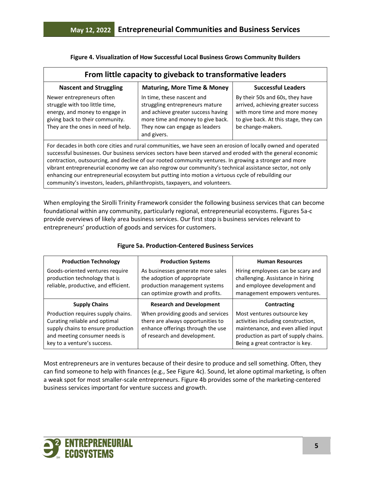| From little capacity to giveback to transformative leaders                                                                                                                                                                                                                                                                                                                                                                                                                                                                                              |                                                                                                                                                                                           |                                                                                                                                                                      |  |
|---------------------------------------------------------------------------------------------------------------------------------------------------------------------------------------------------------------------------------------------------------------------------------------------------------------------------------------------------------------------------------------------------------------------------------------------------------------------------------------------------------------------------------------------------------|-------------------------------------------------------------------------------------------------------------------------------------------------------------------------------------------|----------------------------------------------------------------------------------------------------------------------------------------------------------------------|--|
| <b>Nascent and Struggling</b>                                                                                                                                                                                                                                                                                                                                                                                                                                                                                                                           | <b>Maturing, More Time &amp; Money</b>                                                                                                                                                    | <b>Successful Leaders</b>                                                                                                                                            |  |
| Newer entrepreneurs often<br>struggle with too little time,<br>energy, and money to engage in<br>giving back to their community.<br>They are the ones in need of help.                                                                                                                                                                                                                                                                                                                                                                                  | In time, these nascent and<br>struggling entrepreneurs mature<br>and achieve greater success having<br>more time and money to give back.<br>They now can engage as leaders<br>and givers. | By their 50s and 60s, they have<br>arrived, achieving greater success<br>with more time and more money<br>to give back. At this stage, they can<br>be change-makers. |  |
| For decades in both core cities and rural communities, we have seen an erosion of locally owned and operated<br>successful businesses. Our business services sectors have been starved and eroded with the general economic<br>contraction, outsourcing, and decline of our rooted community ventures. In growing a stronger and more<br>vibrant entrepreneurial economy we can also regrow our community's technical assistance sector, not only<br>enhancing our entrepreneurial ecosystem but putting into motion a virtuous cycle of rebuilding our |                                                                                                                                                                                           |                                                                                                                                                                      |  |

**Figure 4. Visualization of How Successful Local Business Grows Community Builders**

When employing the Sirolli Trinity Framework consider the following business services that can become foundational within any community, particularly regional, entrepreneurial ecosystems. Figures 5a-c provide overviews of likely area business services. Our first stop is business services relevant to entrepreneurs' production of goods and services for customers.

community's investors, leaders, philanthropists, taxpayers, and volunteers.

| <b>Production Technology</b>                                                                                                                                              | <b>Production Systems</b>                                                                                                                   | <b>Human Resources</b>                                                                                                                                                              |
|---------------------------------------------------------------------------------------------------------------------------------------------------------------------------|---------------------------------------------------------------------------------------------------------------------------------------------|-------------------------------------------------------------------------------------------------------------------------------------------------------------------------------------|
| Goods-oriented ventures require<br>production technology that is<br>reliable, productive, and efficient.                                                                  | As businesses generate more sales<br>the adoption of appropriate<br>production management systems<br>can optimize growth and profits.       | Hiring employees can be scary and<br>challenging. Assistance in hiring<br>and employee development and<br>management empowers ventures.                                             |
| <b>Supply Chains</b>                                                                                                                                                      | <b>Research and Development</b>                                                                                                             | Contracting                                                                                                                                                                         |
| Production requires supply chains.<br>Curating reliable and optimal<br>supply chains to ensure production<br>and meeting consumer needs is<br>key to a venture's success. | When providing goods and services<br>there are always opportunities to<br>enhance offerings through the use<br>of research and development. | Most ventures outsource key<br>activities including construction,<br>maintenance, and even allied input<br>production as part of supply chains.<br>Being a great contractor is key. |

### **Figure 5a. Production-Centered Business Services**

Most entrepreneurs are in ventures because of their desire to produce and sell something. Often, they can find someone to help with finances (e.g., See Figure 4c). Sound, let alone optimal marketing, is often a weak spot for most smaller-scale entrepreneurs. Figure 4b provides some of the marketing-centered business services important for venture success and growth.

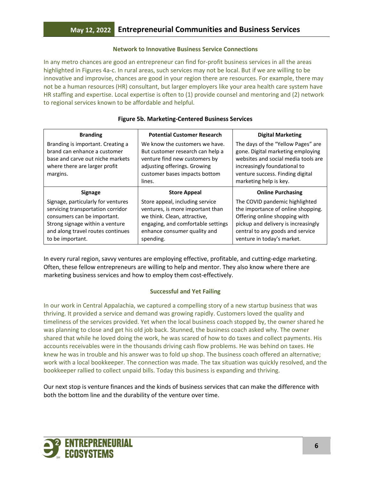#### **Network to Innovative Business Service Connections**

In any metro chances are good an entrepreneur can find for-profit business services in all the areas highlighted in Figures 4a-c. In rural areas, such services may not be local. But if we are willing to be innovative and improvise, chances are good in your region there are resources. For example, there may not be a human resources (HR) consultant, but larger employers like your area health care system have HR staffing and expertise. Local expertise is often to (1) provide counsel and mentoring and (2) network to regional services known to be affordable and helpful.

| <b>Branding</b>                                                                                                                                                                                    | <b>Potential Customer Research</b>                                                                                                                                                     | <b>Digital Marketing</b>                                                                                                                                                                                       |
|----------------------------------------------------------------------------------------------------------------------------------------------------------------------------------------------------|----------------------------------------------------------------------------------------------------------------------------------------------------------------------------------------|----------------------------------------------------------------------------------------------------------------------------------------------------------------------------------------------------------------|
| Branding is important. Creating a<br>brand can enhance a customer<br>base and carve out niche markets<br>where there are larger profit<br>margins.                                                 | We know the customers we have.<br>But customer research can help a<br>venture find new customers by<br>adjusting offerings. Growing<br>customer bases impacts bottom<br>lines.         | The days of the "Yellow Pages" are<br>gone. Digital marketing employing<br>websites and social media tools are<br>increasingly foundational to<br>venture success. Finding digital<br>marketing help is key.   |
| <b>Signage</b>                                                                                                                                                                                     | <b>Store Appeal</b>                                                                                                                                                                    | <b>Online Purchasing</b>                                                                                                                                                                                       |
| Signage, particularly for ventures<br>servicing transportation corridor<br>consumers can be important.<br>Strong signage within a venture<br>and along travel routes continues<br>to be important. | Store appeal, including service<br>ventures, is more important than<br>we think. Clean, attractive,<br>engaging, and comfortable settings<br>enhance consumer quality and<br>spending. | The COVID pandemic highlighted<br>the importance of online shopping.<br>Offering online shopping with<br>pickup and delivery is increasingly<br>central to any goods and service<br>venture in today's market. |

#### **Figure 5b. Marketing-Centered Business Services**

In every rural region, savvy ventures are employing effective, profitable, and cutting-edge marketing. Often, these fellow entrepreneurs are willing to help and mentor. They also know where there are marketing business services and how to employ them cost-effectively.

#### **Successful and Yet Failing**

In our work in Central Appalachia, we captured a compelling story of a new startup business that was thriving. It provided a service and demand was growing rapidly. Customers loved the quality and timeliness of the services provided. Yet when the local business coach stopped by, the owner shared he was planning to close and get his old job back. Stunned, the business coach asked why. The owner shared that while he loved doing the work, he was scared of how to do taxes and collect payments. His accounts receivables were in the thousands driving cash flow problems. He was behind on taxes. He knew he was in trouble and his answer was to fold up shop. The business coach offered an alternative; work with a local bookkeeper. The connection was made. The tax situation was quickly resolved, and the bookkeeper rallied to collect unpaid bills. Today this business is expanding and thriving.

Our next stop is venture finances and the kinds of business services that can make the difference with both the bottom line and the durability of the venture over time.

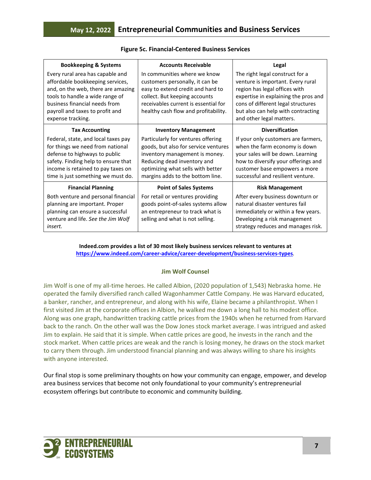| <b>Bookkeeping &amp; Systems</b>                                                                                                                                                                                                       | <b>Accounts Receivable</b>                                                                                                                                                                                            | Legal                                                                                                                                                                                                                                                 |
|----------------------------------------------------------------------------------------------------------------------------------------------------------------------------------------------------------------------------------------|-----------------------------------------------------------------------------------------------------------------------------------------------------------------------------------------------------------------------|-------------------------------------------------------------------------------------------------------------------------------------------------------------------------------------------------------------------------------------------------------|
| Every rural area has capable and<br>affordable bookkeeping services,<br>and, on the web, there are amazing<br>tools to handle a wide range of<br>business financial needs from<br>payroll and taxes to profit and<br>expense tracking. | In communities where we know<br>customers personally, it can be<br>easy to extend credit and hard to<br>collect. But keeping accounts<br>receivables current is essential for<br>healthy cash flow and profitability. | The right legal construct for a<br>venture is important. Every rural<br>region has legal offices with<br>expertise in explaining the pros and<br>cons of different legal structures<br>but also can help with contracting<br>and other legal matters. |
| <b>Tax Accounting</b>                                                                                                                                                                                                                  | <b>Inventory Management</b>                                                                                                                                                                                           | <b>Diversification</b>                                                                                                                                                                                                                                |
| Federal, state, and local taxes pay<br>for things we need from national<br>defense to highways to public<br>safety. Finding help to ensure that<br>income is retained to pay taxes on<br>time is just something we must do.            | Particularly for ventures offering<br>goods, but also for service ventures<br>inventory management is money.<br>Reducing dead inventory and<br>optimizing what sells with better<br>margins adds to the bottom line.  | If your only customers are farmers,<br>when the farm economy is down<br>your sales will be down. Learning<br>how to diversify your offerings and<br>customer base empowers a more<br>successful and resilient venture.                                |
| <b>Financial Planning</b>                                                                                                                                                                                                              | <b>Point of Sales Systems</b>                                                                                                                                                                                         | <b>Risk Management</b>                                                                                                                                                                                                                                |
| Both venture and personal financial<br>planning are important. Proper<br>planning can ensure a successful<br>venture and life. See the Jim Wolf<br>insert.                                                                             | For retail or ventures providing<br>goods point-of-sales systems allow<br>an entrepreneur to track what is<br>selling and what is not selling.                                                                        | After every business downturn or<br>natural disaster ventures fail<br>immediately or within a few years.<br>Developing a risk management<br>strategy reduces and manages risk.                                                                        |

### **Figure 5c. Financial-Centered Business Services**

**Indeed.com provides a list of 30 most likely business services relevant to ventures at <https://www.indeed.com/career-advice/career-development/business-services-types>***.* 

### **Jim Wolf Counsel**

Jim Wolf is one of my all-time heroes. He called Albion, (2020 population of 1,543) Nebraska home. He operated the family diversified ranch called Wagonhammer Cattle Company. He was Harvard educated, a banker, rancher, and entrepreneur, and along with his wife, Elaine became a philanthropist. When I first visited Jim at the corporate offices in Albion, he walked me down a long hall to his modest office. Along was one graph, handwritten tracking cattle prices from the 1940s when he returned from Harvard back to the ranch. On the other wall was the Dow Jones stock market average. I was intrigued and asked Jim to explain. He said that it is simple. When cattle prices are good, he invests in the ranch and the stock market. When cattle prices are weak and the ranch is losing money, he draws on the stock market to carry them through. Jim understood financial planning and was always willing to share his insights with anyone interested.

Our final stop is some preliminary thoughts on how your community can engage, empower, and develop area business services that become not only foundational to your community's entrepreneurial ecosystem offerings but contribute to economic and community building.